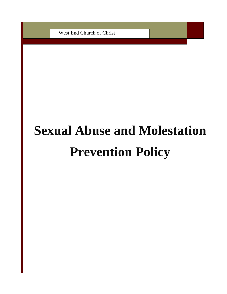West End Church of Christ

# **Sexual Abuse and Molestation Prevention Policy**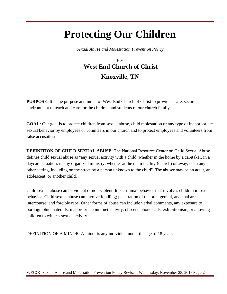# **Protecting Our Children**

*Sexual Abuse and Molestation Prevention Policy* 

# *For*  **West End Church of Christ Knoxville, TN**

**PURPOSE**: It is the purpose and intent of West End Church of Christ to provide a safe, secure environment to teach and care for the children and students of our church family.

**GOAL:** Our goal is to protect children from sexual abuse, child molestation or any type of inappropriate sexual behavior by employees or volunteers in our church and to protect employees and volunteers from false accusations.

**DEFINITION OF CHILD SEXUAL ABUSE**: The National Resource Center on Child Sexual Abuse defines child sexual abuse as "any sexual activity with a child, whether in the home by a caretaker, in a daycare situation, in any organized ministry, whether at the main facility (church) or away, or in any other setting, including on the street by a person unknown to the child". The abuser may be an adult, an adolescent, or another child.

Child sexual abuse can be violent or non-violent. It is criminal behavior that involves children in sexual behavior. Child sexual abuse can involve fondling; penetration of the oral, genital, and anal areas; intercourse; and forcible rape. Other forms of abuse can include verbal comments, any exposure to pornographic materials, inappropriate internet activity, obscene phone calls, exhibitionism, or allowing children to witness sexual activity.

DEFINITION OF A MINOR: A minor is any individual under the age of 18 years.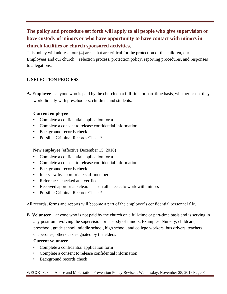# **The policy and procedure set forth will apply to all people who give supervision or have custody of minors or who have opportunity to have contact with minors in church facilities or church sponsored activities.**

This policy will address four (4) areas that are critical for the protection of the children, our Employees and our church: selection process, protection policy, reporting procedures, and responses to allegations.

#### **1. SELECTION PROCESS**

**A. Employee** – anyone who is paid by the church on a full-time or part-time basis, whether or not they work directly with preschoolers, children, and students.

#### **Current employee**

- Complete a confidential application form
- Complete a consent to release confidential information
- Background records check
- Possible Criminal Records Check\*

**New employee** (effective December 15, 2018)

- Complete a confidential application form
- Complete a consent to release confidential information
- Background records check
- Interview by appropriate staff member
- References checked and verified
- Received appropriate clearances on all checks to work with minors
- Possible Criminal Records Check<sup>\*</sup>

All records, forms and reports will become a part of the employee's confidential personnel file.

**B. Volunteer** – anyone who is not paid by the church on a full-time or part-time basis and is serving in any position involving the supervision or custody of minors. Examples: Nursery, childcare, preschool, grade school, middle school, high school, and college workers, bus drivers, teachers, chaperones, others as designated by the elders.

#### **Current volunteer**

- Complete a confidential application form
- Complete a consent to release confidential information
- Background records check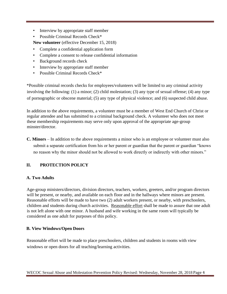- Interview by appropriate staff member
- Possible Criminal Records Check\*

**New volunteer** (effective December 15, 2018)

- Complete a confidential application form
- Complete a consent to release confidential information
- Background records check
- Interview by appropriate staff member
- Possible Criminal Records Check\*

\*Possible criminal records checks for employees/volunteers will be limited to any criminal activity involving the following: (1) a minor; (2) child molestation; (3) any type of sexual offense; (4) any type of pornographic or obscene material; (5) any type of physical violence; and (6) suspected child abuse.

In addition to the above requirements, a volunteer must be a member of West End Church of Christ or regular attendee and has submitted to a criminal background check. A volunteer who does not meet these membership requirements may serve only upon approval of the appropriate age-group minster/director.

**C. Minors** – In addition to the above requirements a minor who is an employee or volunteer must also submit a separate certification from his or her parent or guardian that the parent or guardian "knows no reason why the minor should not be allowed to work directly or indirectly with other minors."

#### **II. PROTECTION POLICY**

#### **A. Two Adults**

Age-group ministers/directors, division directors, teachers, workers, greeters, and/or program directors will be present, or nearby, and available on each floor and in the hallways where minors are present. Reasonable efforts will be made to have two (2) adult workers present, or nearby, with preschoolers, children and students during church activities. Reasonable effort shall be made to assure that one adult is not left alone with one minor. A husband and wife working in the same room will typically be considered as one adult for purposes of this policy.

#### **B. View Windows/Open Doors**

Reasonable effort will be made to place preschoolers, children and students in rooms with view windows or open doors for all teaching/learning activities.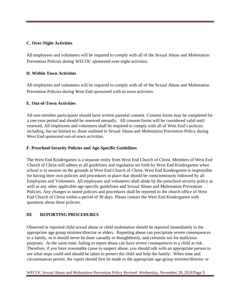#### **C. Over-Night Activities**

All employees and volunteers will be required to comply with all of the Sexual Abuse and Molestation Prevention Policies during WECOC sponsored over-night activities.

#### **D. Within Town Activities**

All employees and volunteers will be required to comply with all of the Sexual Abuse and Molestation Prevention Policies during West End sponsored with-in town activities.

#### **E. Out-of-Town Activities**

All non-member participants should have written parental consent. Consent forms may be completed for a one-year period and should be renewed annually. All consent forms will be considered valid until renewed. All employees and volunteers shall be required to comply with all of West End's policies including, but no limited to, those outlined in Sexual Abuse and Molestation Prevention Policy during West End sponsored out-of-town activities.

#### **F. Preschool Security Policies and Age-Specific Guidelines**

The West End Kindergarten is a separate entity from West End Church of Christ. Members of West End Church of Christ will adhere to all guidelines and regulation set forth by West End Kindergarten when school is in session on the grounds at West End Church of Christ. West End Kindergarten is responsible for having their own policies and procedures in place that should be conscientiously followed by all Employees and Volunteers. All employees and volunteers shall abide by the preschool security policy as well as any other applicable age-specific guidelines and Sexual Abuse and Molestation Prevention Policies. Any changes to stated policies and procedures shall be reported to the church office of West End Church of Christ within a period of 30 days. Please contact the West End Kindergarten with questions about these policies.

#### **III**. **REPORTING PROCEDURES**

Observed or reported child sexual abuse or child molestation should be reported immediately to the appropriate age group minister/director or elders. Reporting abuse can precipitate severe consequences to a family, so it should never be done casually or thoughtlessly, and certainly not for malicious purposes. At the same time, failing to report abuse can have severe consequences to a child at risk. Therefore, if you have reasonable cause to suspect abuse, you should talk with an appropriate person to see what steps could and should be taken to protect the child and help the family. When time and circumstances permit, the report should first be made to the appropriate age-group minister/director or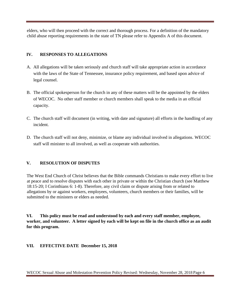elders, who will then proceed with the correct and thorough process. For a definition of the mandatory child abuse reporting requirements in the state of TN please refer to Appendix A of this document.

#### **IV. RESPONSES TO ALLEGATIONS**

- A. All allegations will be taken seriously and church staff will take appropriate action in accordance with the laws of the State of Tennessee, insurance policy requirement, and based upon advice of legal counsel.
- B. The official spokesperson for the church in any of these matters will be the appointed by the elders of WECOC. No other staff member or church members shall speak to the media in an official capacity.
- C. The church staff will document (in writing, with date and signature) all efforts in the handling of any incident.
- D. The church staff will not deny, minimize, or blame any individual involved in allegations. WECOC staff will minister to all involved, as well as cooperate with authorities.

#### **V. RESOLUTION OF DISPUTES**

The West End Church of Christ believes that the Bible commands Christians to make every effort to live at peace and to resolve disputes with each other in private or within the Christian church (see Matthew 18:15-20; I Corinthians 6: 1-8). Therefore, any civil claim or dispute arising from or related to allegations by or against workers, employees, volunteers, church members or their families, will be submitted to the ministers or elders as needed.

**VI. This policy must be read and understood by each and every staff member, employee, worker, and volunteer. A letter signed by each will be kept on file in the church office as an audit for this program.** 

#### **VII. EFFECTIVE DATE December 15, 2018**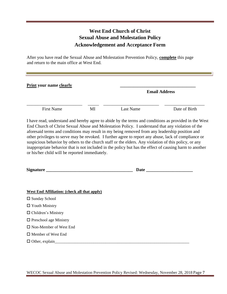## **West End Church of Christ Sexual Abuse and Molestation Policy Acknowledgement and Acceptance Form**

٦I

After you have read the Sexual Abuse and Molestation Prevention Policy, **complete** this page and return to the main office at West End.

| <b>Print your name clearly</b>                                                                                                                                                                                                                                                                                                                                                                                                                                                                                                                                                                                                                                                            |    | <b>Email Address</b> |               |
|-------------------------------------------------------------------------------------------------------------------------------------------------------------------------------------------------------------------------------------------------------------------------------------------------------------------------------------------------------------------------------------------------------------------------------------------------------------------------------------------------------------------------------------------------------------------------------------------------------------------------------------------------------------------------------------------|----|----------------------|---------------|
| <b>First Name</b>                                                                                                                                                                                                                                                                                                                                                                                                                                                                                                                                                                                                                                                                         | MI | <b>Last Name</b>     | Date of Birth |
| I have read, understand and hereby agree to abide by the terms and conditions as provided in the West<br>End Church of Christ Sexual Abuse and Molestation Policy. I understand that any violation of the<br>aforesaid terms and conditions may result in my being removed from any leadership position and<br>other privileges to serve may be revoked. I further agree to report any abuse, lack of compliance or<br>suspicious behavior by others to the church staff or the elders. Any violation of this policy, or any<br>inappropriate behavior that is not included in the policy but has the effect of causing harm to another<br>or his/her child will be reported immediately. |    |                      |               |
|                                                                                                                                                                                                                                                                                                                                                                                                                                                                                                                                                                                                                                                                                           |    |                      |               |
| <b>West End Affiliation: (check all that apply)</b>                                                                                                                                                                                                                                                                                                                                                                                                                                                                                                                                                                                                                                       |    |                      |               |
| $\square$ Sunday School                                                                                                                                                                                                                                                                                                                                                                                                                                                                                                                                                                                                                                                                   |    |                      |               |
| $\Box$ Youth Ministry                                                                                                                                                                                                                                                                                                                                                                                                                                                                                                                                                                                                                                                                     |    |                      |               |
| $\Box$ Children's Ministry                                                                                                                                                                                                                                                                                                                                                                                                                                                                                                                                                                                                                                                                |    |                      |               |
| $\Box$ Preschool age Ministry                                                                                                                                                                                                                                                                                                                                                                                                                                                                                                                                                                                                                                                             |    |                      |               |
| $\Box$ Non-Member of West End                                                                                                                                                                                                                                                                                                                                                                                                                                                                                                                                                                                                                                                             |    |                      |               |
| $\Box$ Member of West End                                                                                                                                                                                                                                                                                                                                                                                                                                                                                                                                                                                                                                                                 |    |                      |               |
| $\Box$ Other, explain                                                                                                                                                                                                                                                                                                                                                                                                                                                                                                                                                                                                                                                                     |    |                      |               |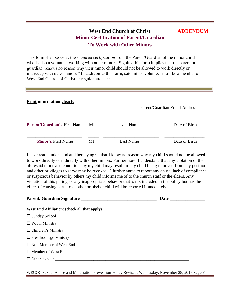## **West End Church of Christ ADDENDUM Minor Certification of Parent/Guardian To Work with Other Minors**

This form shall serve as the *required certification* from the Parent/Guardian of the minor child who is also a volunteer working with other minors. Signing this form implies that the parent or guardian "knows no reason why their minor child should not be allowed to work directly or indirectly with other minors." In addition to this form, said minor volunteer must be a member of West End Church of Christ or regular attendee.

| <b>Print information clearly</b>    |    |                  | Parent/Guardian Email Address |
|-------------------------------------|----|------------------|-------------------------------|
| <b>Parent/Guardian's First Name</b> | MI | <b>Last Name</b> | Date of Birth                 |
| <b>Minor's First Name</b>           | MI | Last Name        | Date of Birth                 |

I have read, understand and hereby agree that I know no reason why my child should not be allowed to work directly or indirectly with other minors. Furthermore, I understand that any violation of the aforesaid terms and conditions by my child may result in my child being removed from any position and other privileges to serve may be revoked. I further agree to report any abuse, lack of compliance or suspicious behavior by others my child informs me of to the church staff or the elders. Any violation of this policy, or any inappropriate behavior that is not included in the policy but has the effect of causing harm to another or his/her child will be reported immediately.

| Parent/ Guardian Signature<br>Date |
|------------------------------------|
|                                    |
|                                    |
|                                    |
|                                    |
|                                    |
|                                    |
|                                    |
|                                    |
|                                    |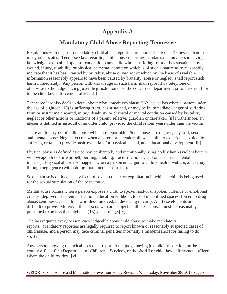# **Appendix A**

# **Mandatory Child Abuse Reporting-Tennessee**

Regulations with regard to mandatory child abuse reporting are more effective in Tennessee than in many other states. Tennessee law regarding child abuse reporting mandates that any person having knowledge of or called upon to render aid to any child who is suffering from or has sustained any wound, injury, disability, or physical or mental condition which is of such a nature as to reasonably indicate that it has been caused by brutality, abuse or neglect or which on the basis of available information reasonably appears to have been caused by brutality, abuse or neglect, shall report such harm immediately. Any person with knowledge of such harm shall report it by telephone or otherwise to the judge having juvenile jurisdiction or to the concerned department, or to the sheriff, or to the chief law enforcement official[.\[i\]](http://criminallaw.uslegal.com/wp-includes/js/tinymce/plugins/paste/pasteword.htm?ver=3241-1141#_edn1)

Tennessee law also deals in detail about what constitutes abuse. "Abuse" exists when a person under the age of eighteen (18) is suffering from, has sustained, or may be in immediate danger of suffering from or sustaining a wound, injury, disability or physical or mental condition caused by brutality, neglect or other actions or inactions of a parent, relative, guardian or caretaker. [\[ii\]](http://criminallaw.uslegal.com/wp-includes/js/tinymce/plugins/paste/pasteword.htm?ver=3241-1141#_edn2) Furthermore, an abuser is defined as an adult or an older child, provided the child is four years older than the victim.

There are four types of child abuse which are reportable. Such abuses are neglect, physical, sexual, and mental abuse. Neglect occurs when a parent or caretaker allows a child to experience avoidable suffering or fails to provide basic essentials for physical, social, and educational development[.\[iii\]](http://criminallaw.uslegal.com/wp-includes/js/tinymce/plugins/paste/pasteword.htm?ver=3241-1141#_edn3)

Physical abuse is defined as a person deliberately and intentionally using bodily harm (violent battery with weapon like knife or belt, burning, choking, fracturing bones, and other non-accidental injuries). Physical abuse also happens when a person endangers a child's health, welfare, and safety through negligence (withholding food, medical care etc).

Sexual abuse is defined as any form of sexual contact or exploitation in which a child is being used for the sexual stimulation of the perpetrator.

Mental abuse occurs when a person exposes a child to spoken and/or unspoken violence or emotional cruelty (deprived of parental affection, education withheld, locked in confined spaces, forced to drug abuse, sent messages child is worthless, unloved, undeserving of care). All these elements are difficult to prove. Moreover the persons who are subject to all these abuses must be reasonably presumed to be less than eighteen (18) years of age[.\[iv\]](http://criminallaw.uslegal.com/wp-includes/js/tinymce/plugins/paste/pasteword.htm?ver=3241-1141#_edn4)

The law requires every person knowledgeable about child abuse to make mandatory reports. Mandatory reporters are legally required to report known or reasonably suspected cases of child abuse, and a person may face criminal penalties (normally a misdemeanor) for failing to do so.  $[v]$ 

Any person knowing of such abuses must report to the judge having juvenile jurisdiction, or the county office of the Department of Children's Services, or the sheriff or chief law enforcement officer where the child resides. [\[vi\]](http://criminallaw.uslegal.com/wp-includes/js/tinymce/plugins/paste/pasteword.htm?ver=3241-1141#_edn6)